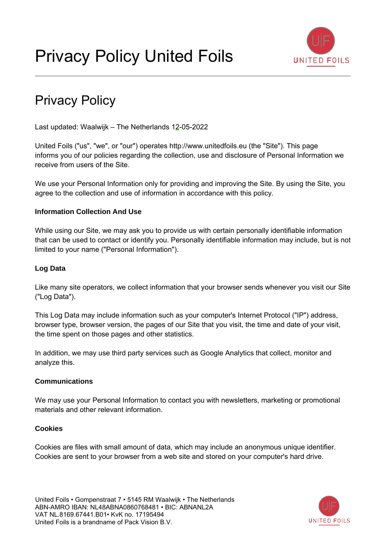

# Privacy Policy

Last updated: Waalwijk – The Netherlands 12-05-2022

United Foils ("us", "we", or "our") operates http://www.unitedfoils.eu (the "Site"). This page informs you of our policies regarding the collection, use and disclosure of Personal Information we receive from users of the Site.

We use your Personal Information only for providing and improving the Site. By using the Site, you agree to the collection and use of information in accordance with this policy.

## **Information Collection And Use**

While using our Site, we may ask you to provide us with certain personally identifiable information that can be used to contact or identify you. Personally identifiable information may include, but is not limited to your name ("Personal Information").

## **Log Data**

Like many site operators, we collect information that your browser sends whenever you visit our Site ("Log Data").

This Log Data may include information such as your computer's Internet Protocol ("IP") address, browser type, browser version, the pages of our Site that you visit, the time and date of your visit, the time spent on those pages and other statistics.

In addition, we may use third party services such as Google Analytics that collect, monitor and analyze this.

## **Communications**

We may use your Personal Information to contact you with newsletters, marketing or promotional materials and other relevant information.

## **Cookies**

Cookies are files with small amount of data, which may include an anonymous unique identifier. Cookies are sent to your browser from a web site and stored on your computer's hard drive.